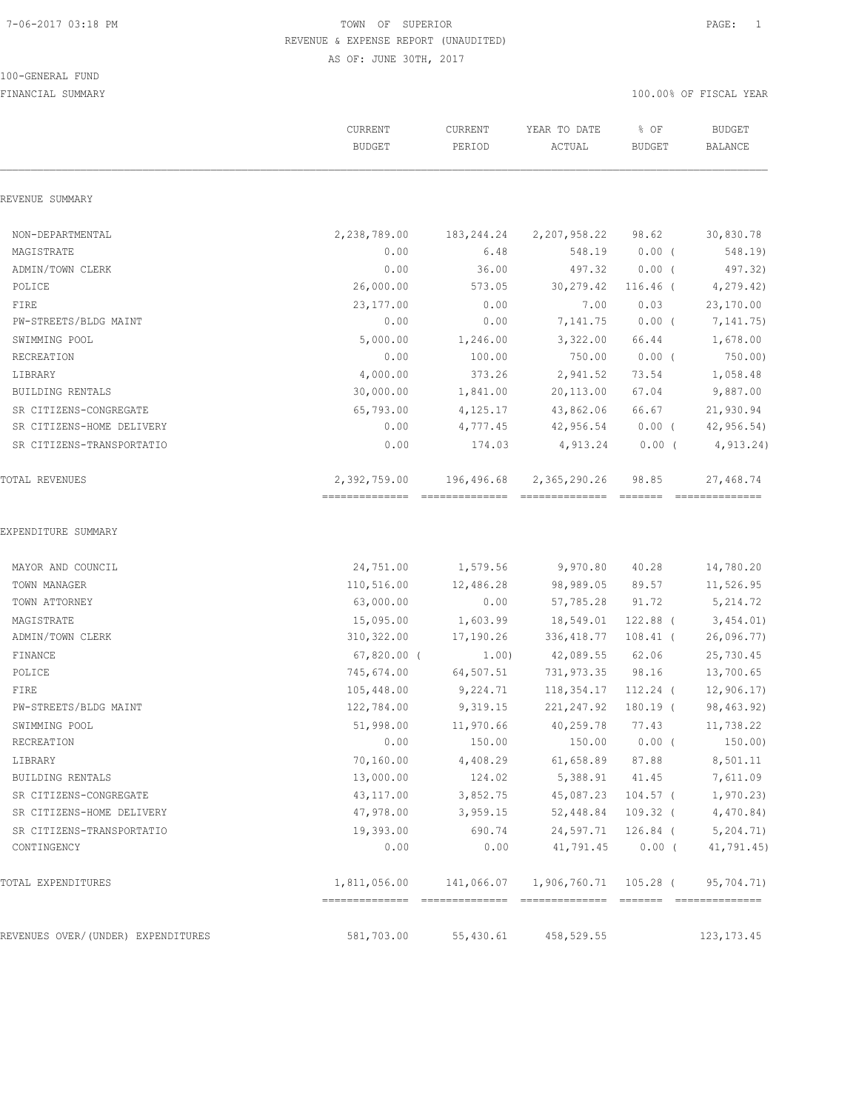#### 100-GENERAL FUND

|                                    | ${\tt CURRENT}$<br><b>BUDGET</b> | CURRENT<br>PERIOD | YEAR TO DATE<br>ACTUAL | % OF<br><b>BUDGET</b> | <b>BUDGET</b><br><b>BALANCE</b> |
|------------------------------------|----------------------------------|-------------------|------------------------|-----------------------|---------------------------------|
| REVENUE SUMMARY                    |                                  |                   |                        |                       |                                 |
| NON-DEPARTMENTAL                   | 2,238,789.00                     | 183,244.24        | 2,207,958.22           | 98.62                 | 30,830.78                       |
| MAGISTRATE                         | 0.00                             | 6.48              | 548.19                 | $0.00$ (              | 548.19)                         |
| ADMIN/TOWN CLERK                   | 0.00                             | 36.00             | 497.32                 | $0.00$ (              | 497.32)                         |
| POLICE                             | 26,000.00                        | 573.05            | 30,279.42              | $116.46$ (            | 4,279.42)                       |
| FIRE                               | 23,177.00                        | 0.00              | 7.00                   | 0.03                  | 23,170.00                       |
| PW-STREETS/BLDG MAINT              | 0.00                             | 0.00              | 7,141.75               | $0.00$ (              | 7,141.75)                       |
| SWIMMING POOL                      | 5,000.00                         | 1,246.00          | 3,322.00               | 66.44                 | 1,678.00                        |
| RECREATION                         | 0.00                             | 100.00            | 750.00                 | $0.00$ (              | 750.00)                         |
| LIBRARY                            | 4,000.00                         | 373.26            | 2,941.52               | 73.54                 | 1,058.48                        |
| BUILDING RENTALS                   | 30,000.00                        | 1,841.00          | 20,113.00              | 67.04                 | 9,887.00                        |
| SR CITIZENS-CONGREGATE             | 65,793.00                        | 4,125.17          | 43,862.06              | 66.67                 | 21,930.94                       |
| SR CITIZENS-HOME DELIVERY          | 0.00                             | 4,777.45          | 42,956.54              | $0.00$ (              | 42, 956.54)                     |
| SR CITIZENS-TRANSPORTATIO          | 0.00                             | 174.03            | 4,913.24               | $0.00$ (              | 4,913.24)                       |
| TOTAL REVENUES                     | 2,392,759.00                     | 196,496.68        | 2,365,290.26           | 98.85                 | 27,468.74                       |
| MAYOR AND COUNCIL                  | 24,751.00                        | 1,579.56          | 9,970.80               | 40.28                 | 14,780.20                       |
| TOWN MANAGER                       | 110,516.00                       | 12,486.28         | 98,989.05              | 89.57                 | 11,526.95                       |
| TOWN ATTORNEY                      | 63,000.00                        | 0.00              | 57,785.28              | 91.72                 | 5,214.72                        |
| MAGISTRATE                         | 15,095.00                        | 1,603.99          | 18,549.01              | 122.88 (              | 3,454.01)                       |
| ADMIN/TOWN CLERK                   | 310,322.00                       | 17,190.26         | 336,418.77 108.41 (    |                       | 26,096.77                       |
| FINANCE                            | $67,820.00$ (                    | 1.00)             | 42,089.55              | 62.06                 | 25,730.45                       |
| POLICE                             | 745,674.00                       | 64,507.51         | 731,973.35             | 98.16                 | 13,700.65                       |
| FIRE                               | 105,448.00                       | 9,224.71          | 118,354.17             | 112.24 (              | 12,906.17                       |
| PW-STREETS/BLDG MAINT              | 122,784.00                       | 9,319.15          | 221,247.92             | 180.19 (              | 98,463.92)                      |
| SWIMMING POOL                      | 51,998.00                        | 11,970.66         | 40,259.78              | 77.43                 | 11,738.22                       |
| RECREATION                         | 0.00                             | 150.00            |                        | 150.00 0.00 (         | 150.00)                         |
| LIBRARY                            | 70,160.00                        | 4,408.29          | 61,658.89              | 87.88                 | 8,501.11                        |
| <b>BUILDING RENTALS</b>            | 13,000.00                        | 124.02            |                        | 5,388.91 41.45        | 7,611.09                        |
| SR CITIZENS-CONGREGATE             | 43,117.00                        | 3,852.75          |                        | 45,087.23 104.57 (    | 1,970.23                        |
| SR CITIZENS-HOME DELIVERY          | 47,978.00                        | 3,959.15          |                        | 52,448.84 109.32 (    | 4,470.84                        |
| SR CITIZENS-TRANSPORTATIO          | 19,393.00                        | 690.74            | 24,597.71              | $126.84$ (            | 5, 204.71)                      |
| CONTINGENCY                        | 0.00                             | 0.00              | 41,791.45              | $0.00$ (              | 41,791.45)                      |
| TOTAL EXPENDITURES                 | 1,811,056.00 141,066.07          |                   | 1,906,760.71 105.28 (  |                       | 95,704.71)                      |
| REVENUES OVER/(UNDER) EXPENDITURES | 581,703.00                       | 55,430.61         | 458,529.55             |                       | 123, 173. 45                    |
|                                    |                                  |                   |                        |                       |                                 |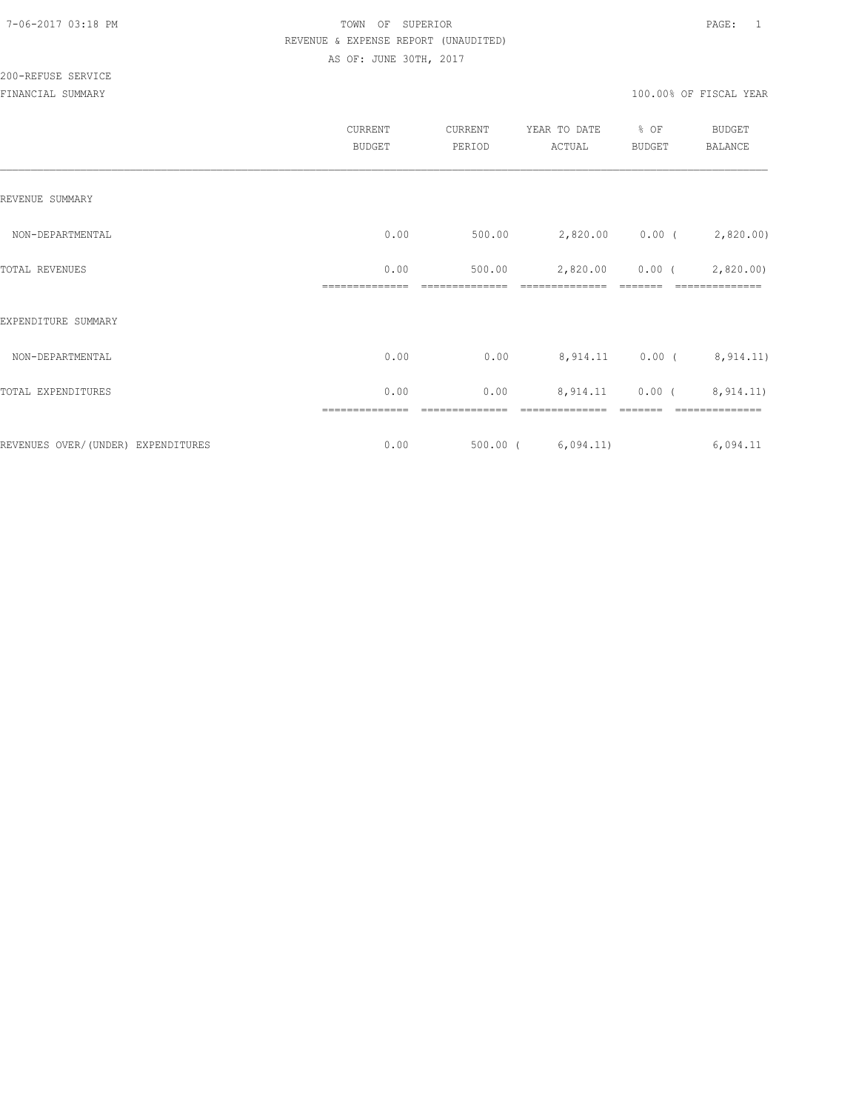|                                    | CURRENT<br><b>BUDGET</b> | CURRENT<br>PERIOD | YEAR TO DATE<br>ACTUAL  | % OF<br><b>BUDGET</b> | <b>BUDGET</b><br>BALANCE |
|------------------------------------|--------------------------|-------------------|-------------------------|-----------------------|--------------------------|
| REVENUE SUMMARY                    |                          |                   |                         |                       |                          |
| NON-DEPARTMENTAL                   | 0.00                     | 500.00            |                         |                       | 2,820.00 0.00 (2,820.00) |
| TOTAL REVENUES                     | 0.00                     | 500.00            | 2,820.00                | $0.00$ (              | 2,820.00                 |
| EXPENDITURE SUMMARY                |                          |                   |                         |                       |                          |
| NON-DEPARTMENTAL                   | 0.00                     | 0.00              |                         |                       | 8,914.11 0.00 (8,914.11) |
| TOTAL EXPENDITURES                 | 0.00                     | 0.00              | 8,914.11                |                       | $0.00$ ( $8,914.11$ )    |
| REVENUES OVER/(UNDER) EXPENDITURES | 0.00                     |                   | $500.00$ ( $6,094.11$ ) |                       | 6,094.11                 |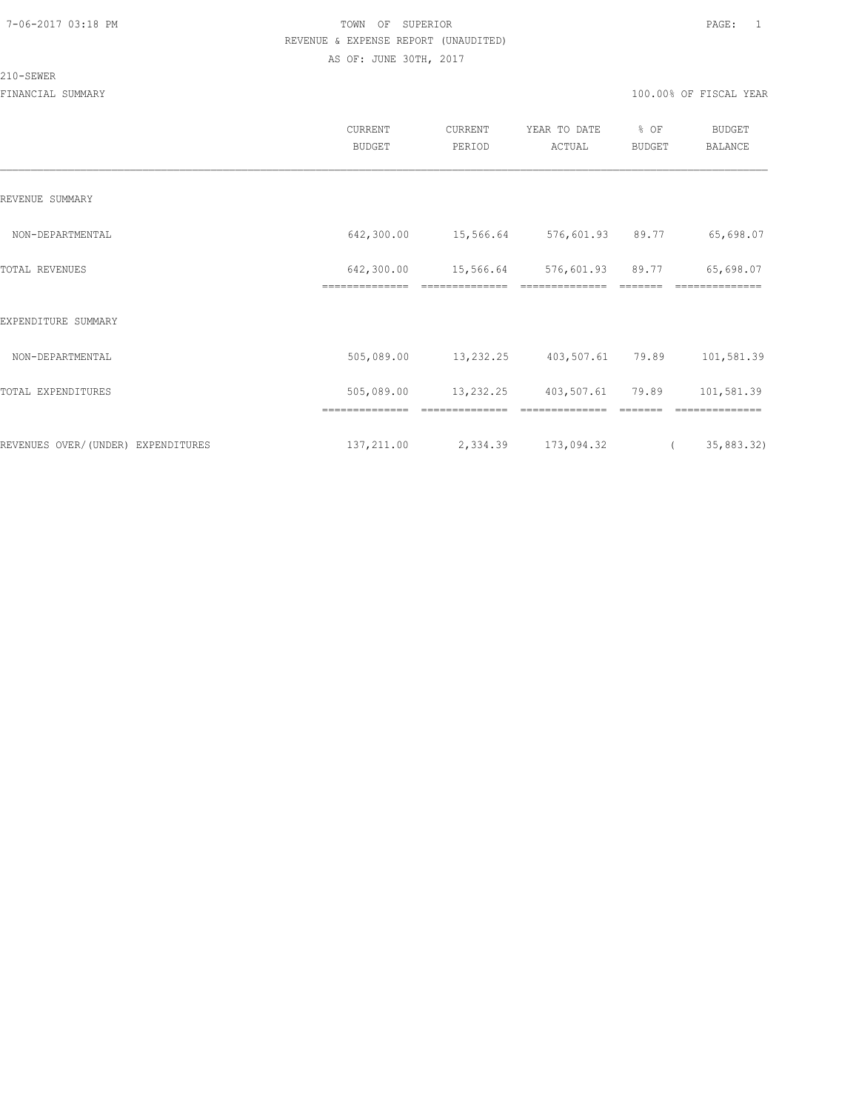#### 210-SEWER

|                                    | CURRENT<br><b>BUDGET</b>     | CURRENT<br>PERIOD | YEAR TO DATE<br>ACTUAL | % OF<br>BUDGET | <b>BUDGET</b><br>BALANCE |
|------------------------------------|------------------------------|-------------------|------------------------|----------------|--------------------------|
| REVENUE SUMMARY                    |                              |                   |                        |                |                          |
| NON-DEPARTMENTAL                   | 642,300.00                   | 15,566.64         | 576,601.93 89.77       |                | 65,698.07                |
| TOTAL REVENUES                     | 642,300.00<br>============== | 15,566.64         | 576,601.93             | 89.77          | 65,698.07<br>=========   |
| EXPENDITURE SUMMARY                |                              |                   |                        |                |                          |
| NON-DEPARTMENTAL                   | 505,089.00                   | 13,232.25         | 403,507.61 79.89       |                | 101,581.39               |
| TOTAL EXPENDITURES                 | 505,089.00                   | 13,232.25         | 403,507.61             | 79.89          | 101,581.39               |
|                                    |                              |                   |                        |                |                          |
| REVENUES OVER/(UNDER) EXPENDITURES | 137,211.00                   | 2,334.39          | 173,094.32             | $\sqrt{2}$     | 35,883.32)               |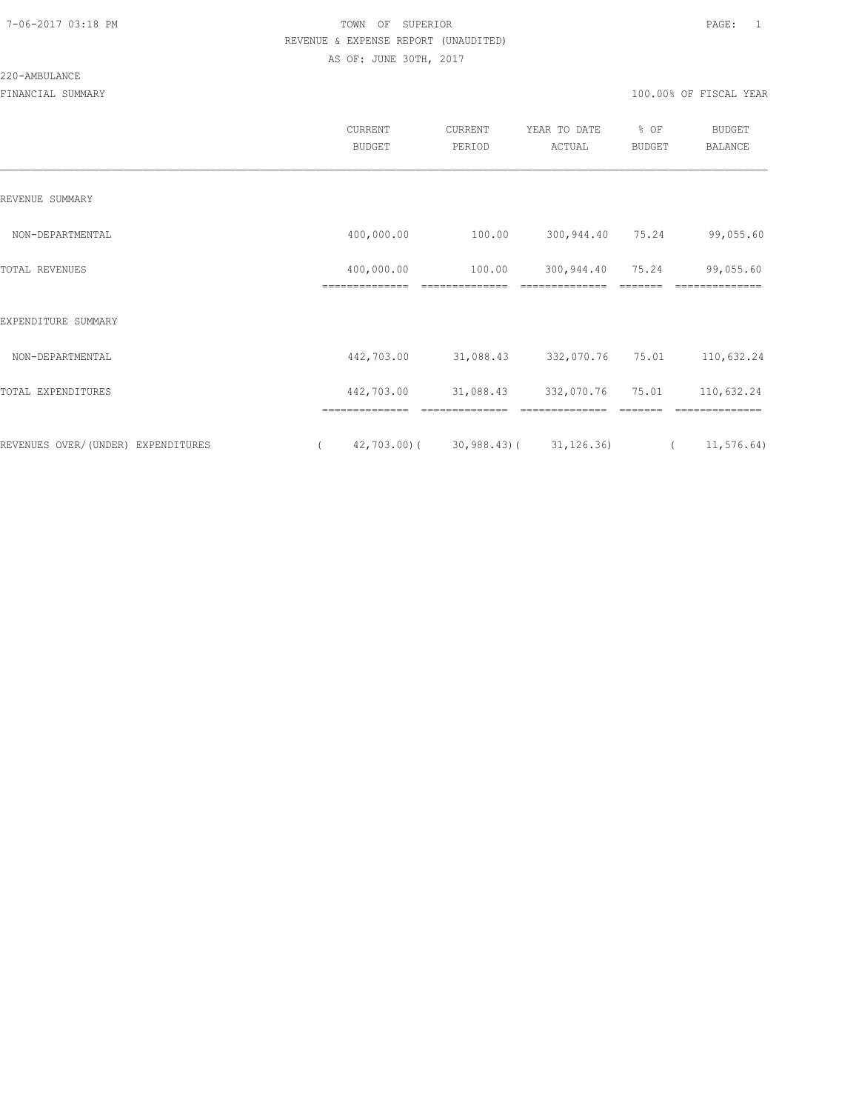# 220-AMBULANCE

|                                    | <b>CURRENT</b><br><b>BUDGET</b> | CURRENT<br>PERIOD                         | YEAR TO DATE<br>ACTUAL       | % OF<br><b>BUDGET</b> | <b>BUDGET</b><br>BALANCE |
|------------------------------------|---------------------------------|-------------------------------------------|------------------------------|-----------------------|--------------------------|
| REVENUE SUMMARY                    |                                 |                                           |                              |                       |                          |
| NON-DEPARTMENTAL                   | 400,000.00                      | 100.00                                    | 300,944.40 75.24             |                       | 99,055.60                |
| TOTAL REVENUES                     | 400,000.00<br>==============    | 100.00<br>==============                  | 300,944.40<br>============== | 75.24                 | 99,055.60<br>==========  |
| EXPENDITURE SUMMARY                |                                 |                                           |                              |                       |                          |
| NON-DEPARTMENTAL                   | 442,703.00                      | 31,088.43                                 | 332,070.76                   | 75.01                 | 110,632.24               |
| TOTAL EXPENDITURES                 | 442,703.00                      | 31,088.43                                 | 332,070.76                   | 75.01                 | 110,632.24               |
|                                    |                                 |                                           |                              |                       |                          |
| REVENUES OVER/(UNDER) EXPENDITURES | $\left($                        | $42,703.00$ ( $30,988.43$ ( $31,126.36$ ) |                              |                       | 11,576.64)<br>$\sqrt{2}$ |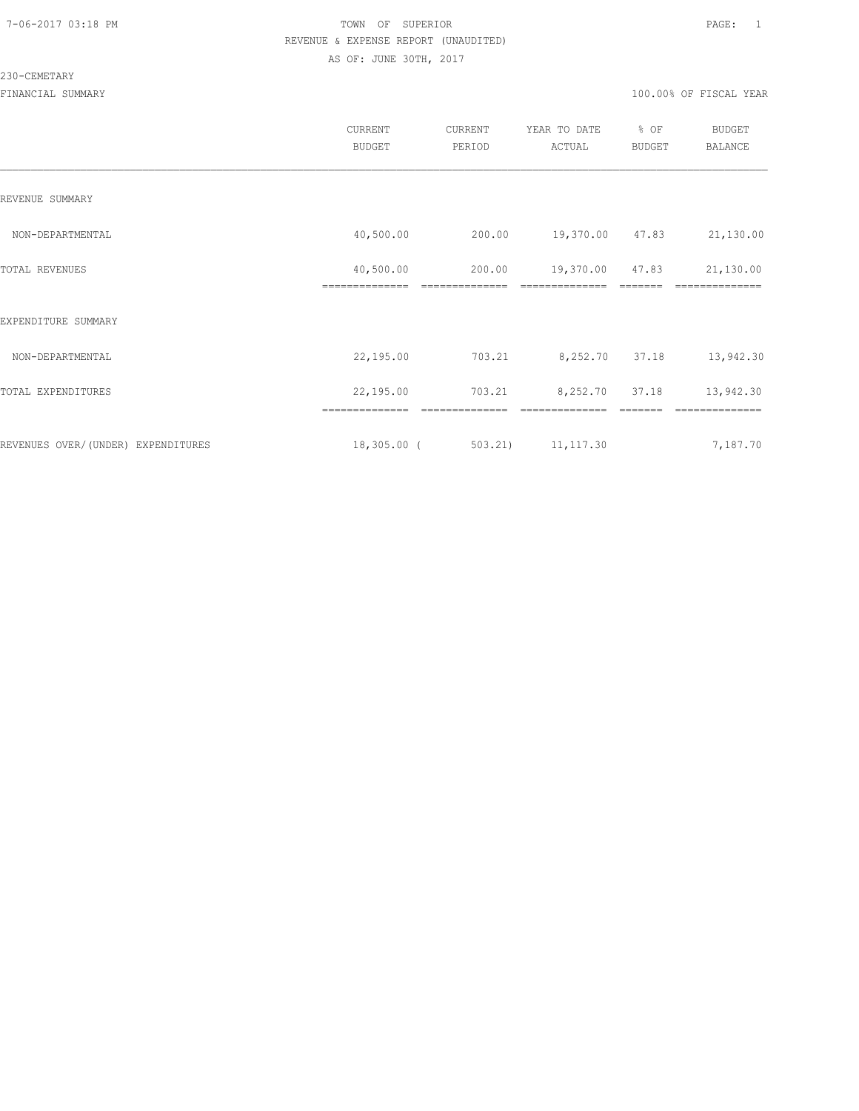#### 230-CEMETARY

|                                    | CURRENT<br><b>BUDGET</b>    | CURRENT<br>PERIOD        | YEAR TO DATE<br>ACTUAL            | % OF<br>BUDGET | <b>BUDGET</b><br>BALANCE    |
|------------------------------------|-----------------------------|--------------------------|-----------------------------------|----------------|-----------------------------|
| REVENUE SUMMARY                    |                             |                          |                                   |                |                             |
| NON-DEPARTMENTAL                   | 40,500.00                   | 200.00                   | 19,370.00 47.83                   |                | 21,130.00                   |
| TOTAL REVENUES                     | 40,500.00<br>============== | 200.00<br>============== | 19,370.00 47.83<br>============== | --------       | 21,130.00<br>============== |
| EXPENDITURE SUMMARY                |                             |                          |                                   |                |                             |
| NON-DEPARTMENTAL                   | 22,195.00                   | 703.21                   | 8,252.70 37.18                    |                | 13,942.30                   |
| TOTAL EXPENDITURES                 | 22,195.00                   | 703.21                   | 8,252.70 37.18                    |                | 13,942.30                   |
|                                    | ==============              | ==============           | ==============                    | =======        | ==============              |
| REVENUES OVER/(UNDER) EXPENDITURES | $18,305.00$ (               | 503.21                   | 11, 117.30                        |                | 7,187.70                    |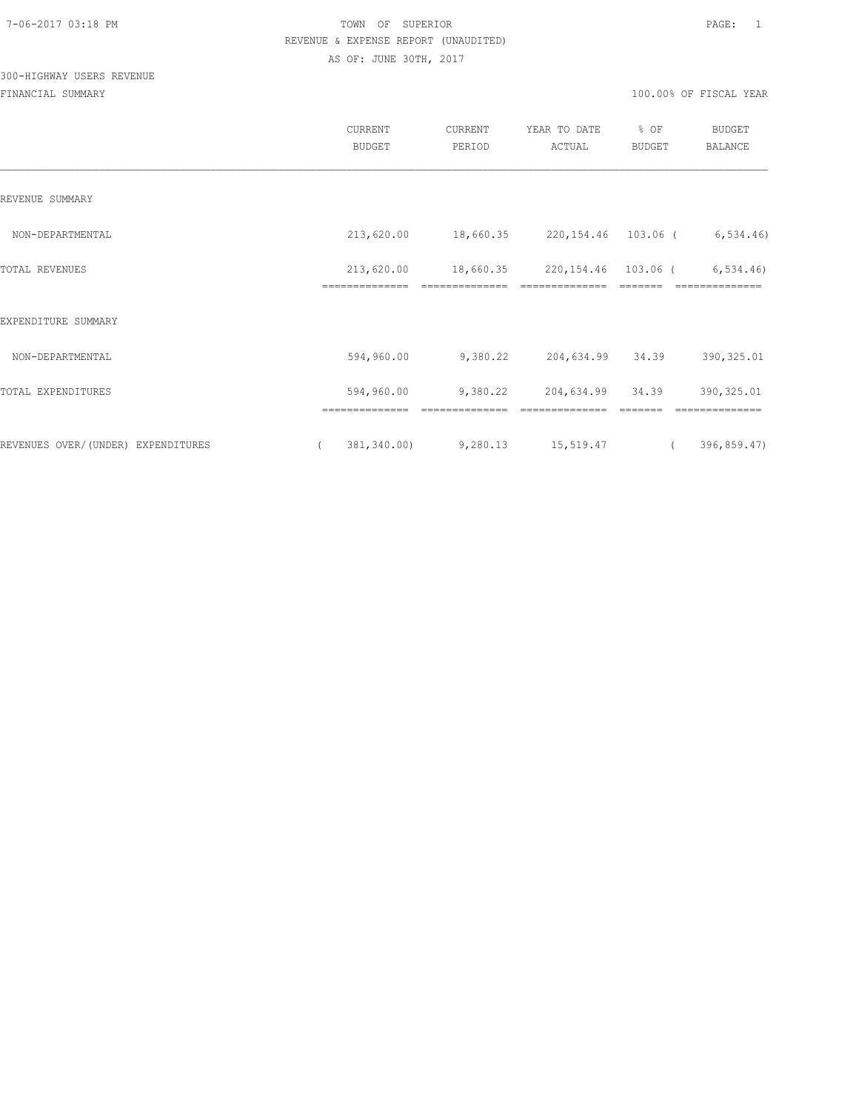# 300-HIGHWAY USERS REVENUE

|                                    | CURRENT<br>BUDGET            | CURRENT<br>PERIOD             | YEAR TO DATE<br>ACTUAL | % OF<br><b>BUDGET</b> | <b>BUDGET</b><br>BALANCE |
|------------------------------------|------------------------------|-------------------------------|------------------------|-----------------------|--------------------------|
| REVENUE SUMMARY                    |                              |                               |                        |                       |                          |
| NON-DEPARTMENTAL                   | 213,620.00                   | 18,660.35 220,154.46 103.06 ( |                        |                       | 6, 534.46                |
| TOTAL REVENUES                     | 213,620.00<br>============== | 18,660.35                     | 220,154.46 103.06 (    |                       | 6, 534.46<br>=========== |
| EXPENDITURE SUMMARY                |                              |                               |                        |                       |                          |
| NON-DEPARTMENTAL                   | 594,960.00                   | 9,380.22                      | 204,634.99 34.39       |                       | 390, 325.01              |
| TOTAL EXPENDITURES                 | 594,960.00                   | 9,380.22                      | 204,634.99 34.39       |                       | 390, 325.01              |
|                                    | ==============               |                               |                        |                       | ==============           |
| REVENUES OVER/(UNDER) EXPENDITURES | 381,340.00)<br>$\left($      | 9,280.13                      | 15,519.47              | $\overline{a}$        | 396,859.47)              |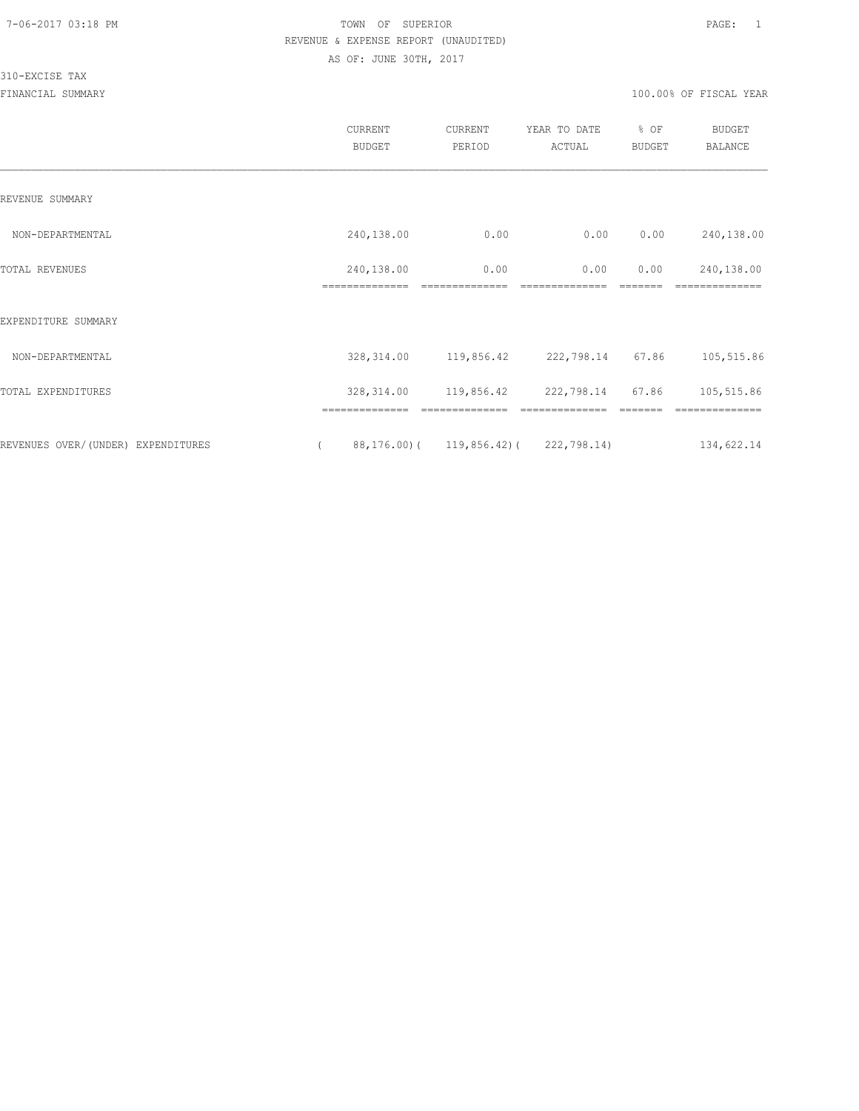#### 310-EXCISE TAX

|                                    |          | <b>CURRENT</b><br><b>BUDGET</b> | CURRENT<br>PERIOD | YEAR TO DATE<br>ACTUAL                  | % OF<br>BUDGET | BUDGET<br><b>BALANCE</b> |
|------------------------------------|----------|---------------------------------|-------------------|-----------------------------------------|----------------|--------------------------|
| REVENUE SUMMARY                    |          |                                 |                   |                                         |                |                          |
| NON-DEPARTMENTAL                   |          | 240,138.00                      | 0.00              | 0.00                                    | 0.00           | 240,138.00               |
| TOTAL REVENUES                     |          | 240,138.00                      | 0.00              | 0.00                                    | 0.00           | 240,138.00               |
| EXPENDITURE SUMMARY                |          |                                 |                   |                                         |                |                          |
| NON-DEPARTMENTAL                   |          | 328,314.00                      | 119,856.42        | 222,798.14                              | 67.86          | 105,515.86               |
| TOTAL EXPENDITURES                 |          | 328, 314.00                     | 119,856.42        | 222,798.14                              | 67.86          | 105,515.86               |
|                                    |          | ==============                  | ==============    | ==============                          |                | ==============           |
| REVENUES OVER/(UNDER) EXPENDITURES | $\left($ |                                 |                   | 88, 176.00) (119, 856.42) (222, 798.14) |                | 134,622.14               |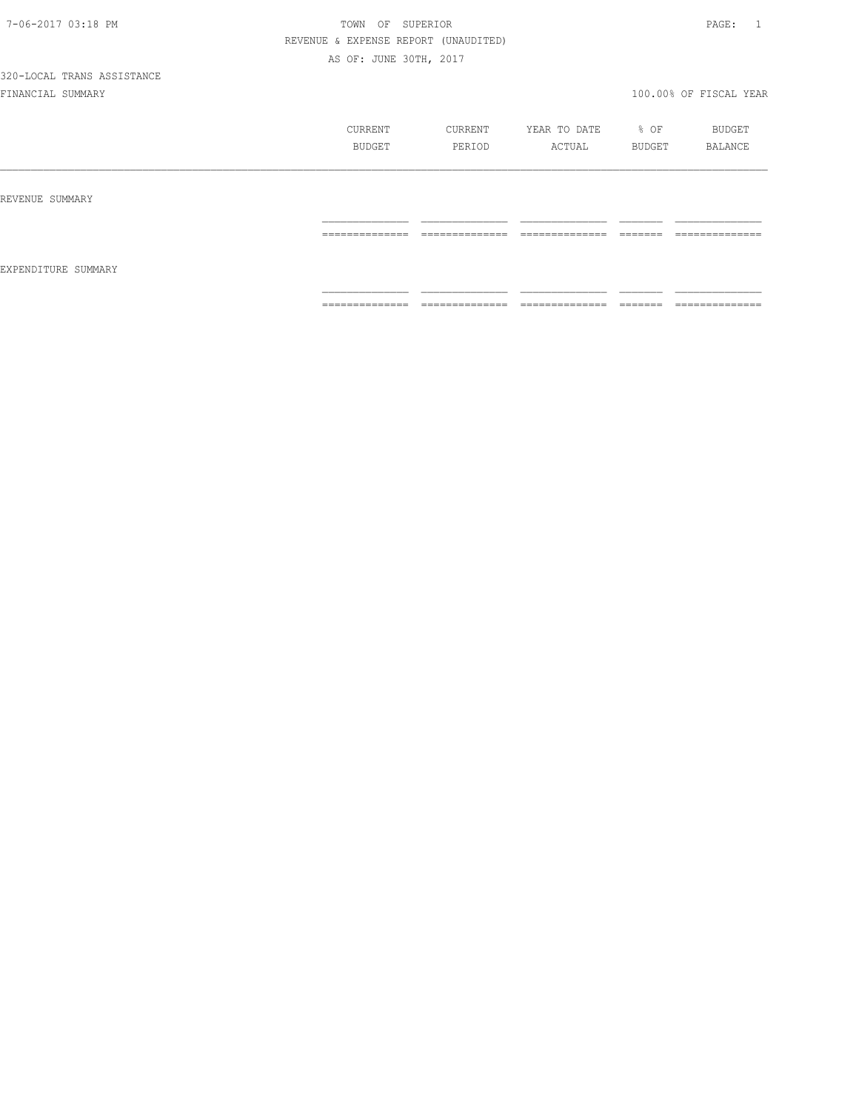|                     | CURRENT<br><b>BUDGET</b> | CURRENT<br>PERIOD                 | YEAR TO DATE<br>ACTUAL           | % OF<br>BUDGET    | BUDGET<br>BALANCE                |
|---------------------|--------------------------|-----------------------------------|----------------------------------|-------------------|----------------------------------|
| REVENUE SUMMARY     |                          |                                   |                                  |                   |                                  |
|                     | ==============           | ---------------<br>______________ | --------------<br>______________ | =======           | --------------<br>______________ |
| EXPENDITURE SUMMARY |                          |                                   |                                  |                   |                                  |
|                     | --------------           | ==============                    | ==============                   | -------<br>====== | ==============                   |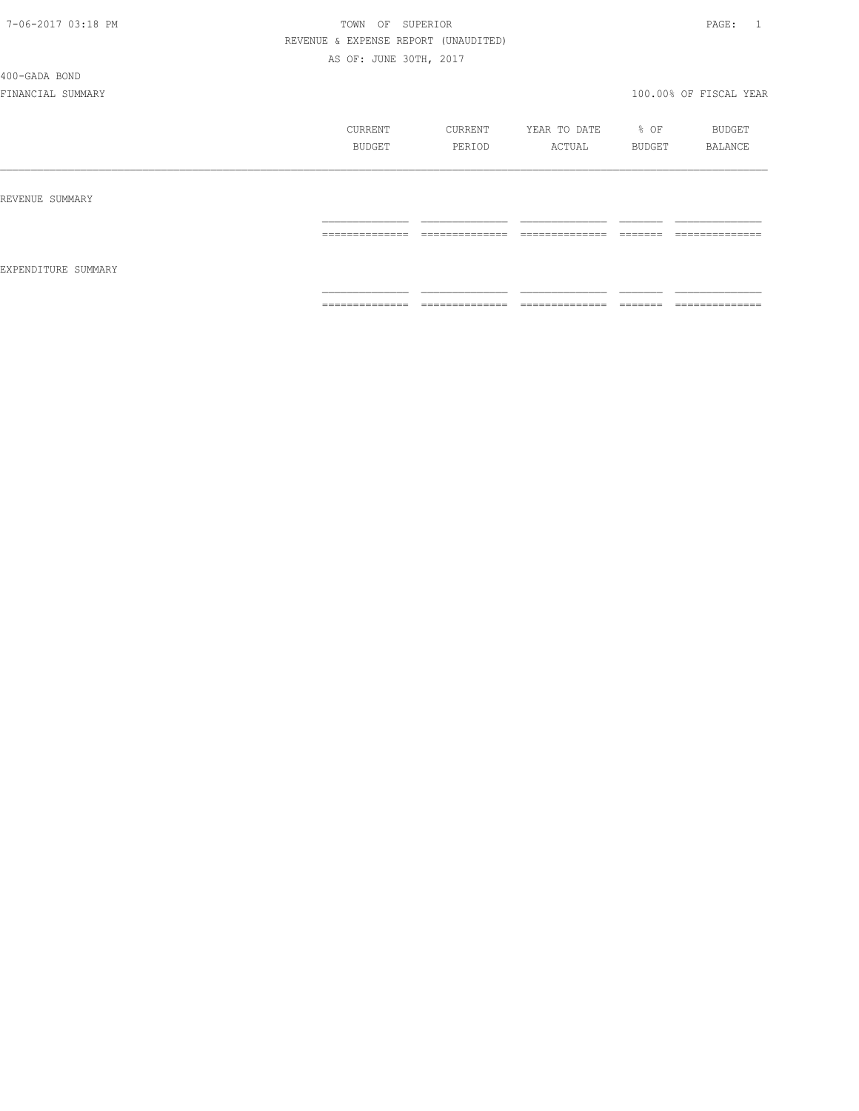#### 400-GADA BOND

|                     | CURRENT<br>BUDGET | CURRENT<br>PERIOD | YEAR TO DATE<br>ACTUAL | % OF<br>BUDGET                                                                                                                                                                                                                                                                                                                                                                                                                                                                         | BUDGET<br>BALANCE |
|---------------------|-------------------|-------------------|------------------------|----------------------------------------------------------------------------------------------------------------------------------------------------------------------------------------------------------------------------------------------------------------------------------------------------------------------------------------------------------------------------------------------------------------------------------------------------------------------------------------|-------------------|
| REVENUE SUMMARY     |                   |                   |                        |                                                                                                                                                                                                                                                                                                                                                                                                                                                                                        |                   |
| EXPENDITURE SUMMARY | ==============    | ==============    | ==============         |                                                                                                                                                                                                                                                                                                                                                                                                                                                                                        | --------------    |
|                     | ==============    | ==============    | ==============         | $\begin{array}{cccccccccc} \multicolumn{2}{c}{} & \multicolumn{2}{c}{} & \multicolumn{2}{c}{} & \multicolumn{2}{c}{} & \multicolumn{2}{c}{} & \multicolumn{2}{c}{} & \multicolumn{2}{c}{} & \multicolumn{2}{c}{} & \multicolumn{2}{c}{} & \multicolumn{2}{c}{} & \multicolumn{2}{c}{} & \multicolumn{2}{c}{} & \multicolumn{2}{c}{} & \multicolumn{2}{c}{} & \multicolumn{2}{c}{} & \multicolumn{2}{c}{} & \multicolumn{2}{c}{} & \multicolumn{2}{c}{} & \multicolumn{2}{c}{} & \mult$ | ==============    |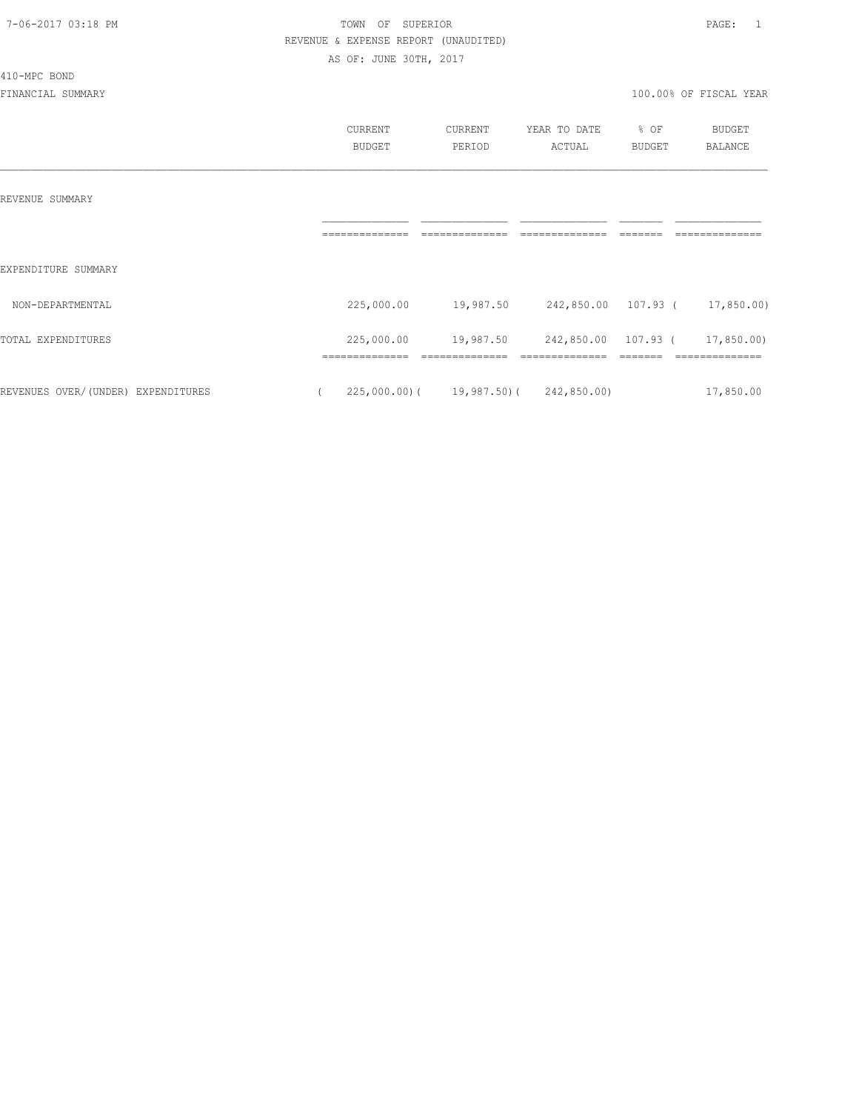410-MPC BOND

## 7-06-2017 03:18 PM TOWN OF SUPERIOR PAGE: 1 REVENUE & EXPENSE REPORT (UNAUDITED) AS OF: JUNE 30TH, 2017

|                                    | CURRENT                      | CURRENT                                  | YEAR TO DATE | % OF          | <b>BUDGET</b>             |
|------------------------------------|------------------------------|------------------------------------------|--------------|---------------|---------------------------|
|                                    | <b>BUDGET</b>                | PERIOD                                   | ACTUAL       | <b>BUDGET</b> | BALANCE                   |
| REVENUE SUMMARY                    |                              |                                          |              |               |                           |
|                                    |                              |                                          |              |               |                           |
| EXPENDITURE SUMMARY                |                              |                                          |              |               |                           |
| NON-DEPARTMENTAL                   | 225,000.00                   | 19,987.50 242,850.00 107.93 ( 17,850.00) |              |               |                           |
| TOTAL EXPENDITURES                 | 225,000.00<br>============== | 19,987.50 242,850.00 107.93 (            |              |               | 17,850.00)<br>----------- |
| REVENUES OVER/(UNDER) EXPENDITURES |                              | $225,000.00$ ( 19,987.50) ( 242,850.00)  |              |               | 17,850.00                 |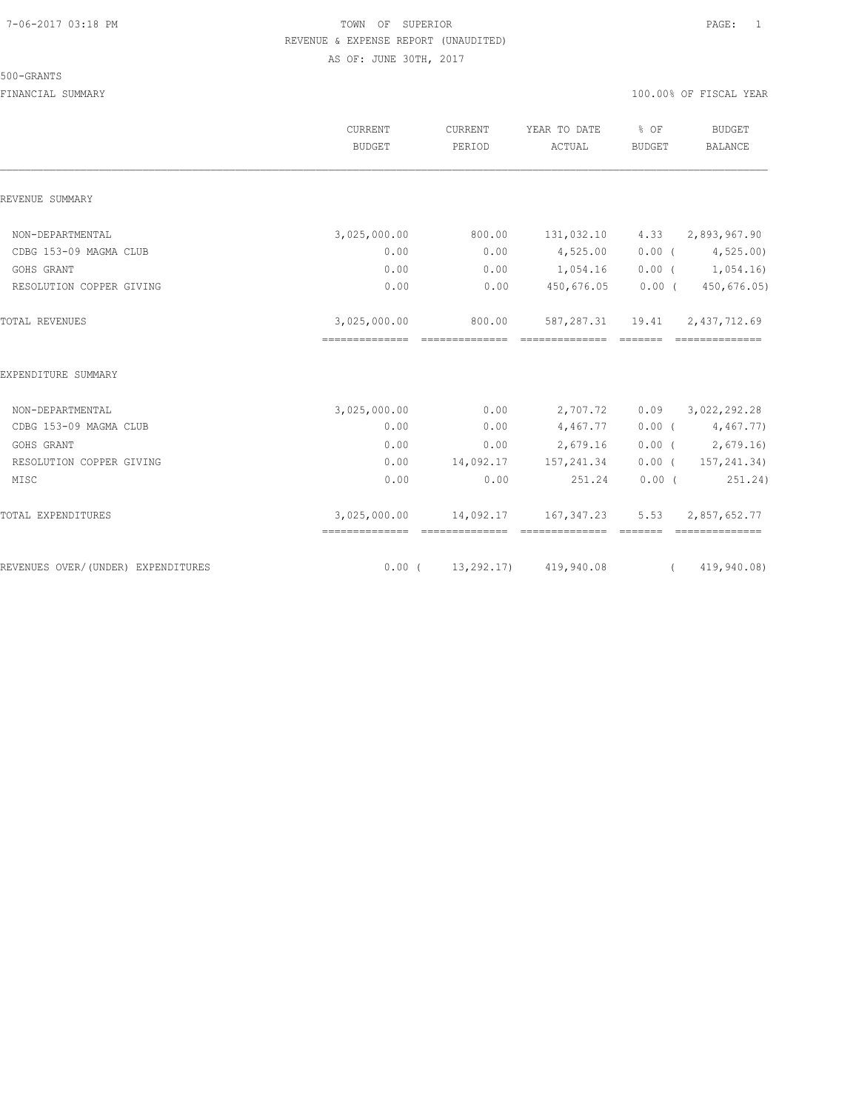#### 500-GRANTS

|                                    | CURRENT<br><b>BUDGET</b>                       | CURRENT<br>PERIOD          | YEAR TO DATE<br>ACTUAL                 | % OF<br>BUDGET                                                                                                                                                                                                                                                                                                                     | BUDGET<br>BALANCE                  |
|------------------------------------|------------------------------------------------|----------------------------|----------------------------------------|------------------------------------------------------------------------------------------------------------------------------------------------------------------------------------------------------------------------------------------------------------------------------------------------------------------------------------|------------------------------------|
| REVENUE SUMMARY                    |                                                |                            |                                        |                                                                                                                                                                                                                                                                                                                                    |                                    |
| NON-DEPARTMENTAL                   | 3,025,000.00                                   | 800.00                     | 131,032.10                             |                                                                                                                                                                                                                                                                                                                                    | $4.33$ $2,893,967.90$              |
| CDBG 153-09 MAGMA CLUB             | 0.00                                           | 0.00                       | 4,525.00                               |                                                                                                                                                                                                                                                                                                                                    | $0.00$ ( $4,525.00$ )              |
| GOHS GRANT                         | 0.00                                           | 0.00                       | 1,054.16                               |                                                                                                                                                                                                                                                                                                                                    | $0.00$ ( $1,054.16$ )              |
| RESOLUTION COPPER GIVING           | 0.00                                           | 0.00                       | 450,676.05                             | $0.00$ (                                                                                                                                                                                                                                                                                                                           | 450,676.05)                        |
| TOTAL REVENUES                     | 3,025,000.00                                   | 800.00<br>- cooccooccoocco | ==============                         |                                                                                                                                                                                                                                                                                                                                    | 587, 287.31  19.41  2, 437, 712.69 |
| EXPENDITURE SUMMARY                |                                                |                            |                                        |                                                                                                                                                                                                                                                                                                                                    |                                    |
| NON-DEPARTMENTAL                   | 3,025,000.00                                   | 0.00                       | 2,707.72                               |                                                                                                                                                                                                                                                                                                                                    | $0.09$ $3,022,292.28$              |
| CDBG 153-09 MAGMA CLUB             | 0.00                                           | 0.00                       | 4,467.77                               |                                                                                                                                                                                                                                                                                                                                    | $0.00$ ( $4,467.77$ )              |
| GOHS GRANT                         | 0.00                                           | 0.00                       | 2,679.16                               |                                                                                                                                                                                                                                                                                                                                    | $0.00$ ( 2,679.16)                 |
| RESOLUTION COPPER GIVING           | 0.00                                           |                            | 14,092.17 157,241.34                   | $0.00$ (                                                                                                                                                                                                                                                                                                                           | 157,241.34)                        |
| MISC                               | 0.00                                           | 0.00                       | 251.24                                 | $0.00$ (                                                                                                                                                                                                                                                                                                                           | 251.24)                            |
| TOTAL EXPENDITURES                 | 3,025,000.00<br>============================== |                            | 14,092.17 167,347.23<br>-------------- | 5.53                                                                                                                                                                                                                                                                                                                               | 2,857,652.77<br>==============     |
| REVENUES OVER/(UNDER) EXPENDITURES |                                                |                            | $0.00$ ( $13,292,17$ ) 419,940.08      | $\overline{a}$ and $\overline{a}$ and $\overline{a}$ and $\overline{a}$ and $\overline{a}$ and $\overline{a}$ and $\overline{a}$ and $\overline{a}$ and $\overline{a}$ and $\overline{a}$ and $\overline{a}$ and $\overline{a}$ and $\overline{a}$ and $\overline{a}$ and $\overline{a}$ and $\overline{a}$ and $\overline{a}$ and | 419,940.08)                        |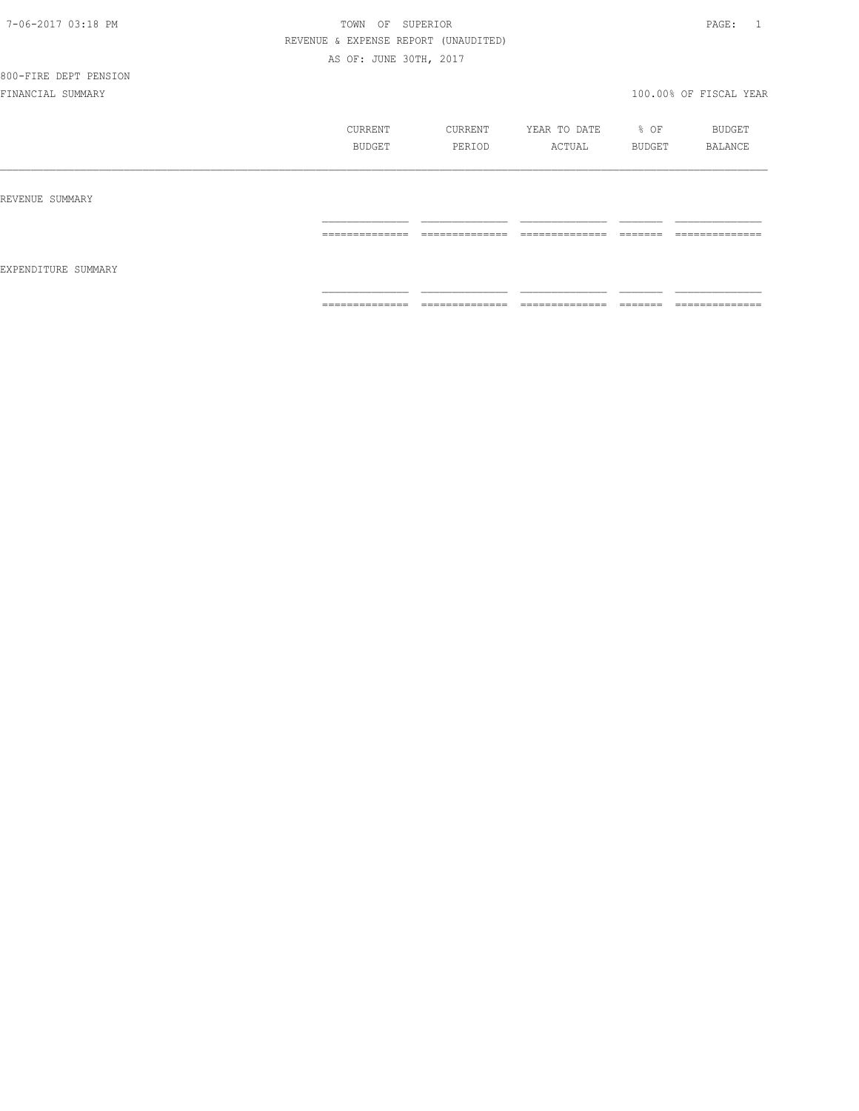| 7-06-2017 03:18 PM |  |
|--------------------|--|
|                    |  |

## TOWN OF SUPERIOR **PAGE:** 1 REVENUE & EXPENSE REPORT (UNAUDITED) AS OF: JUNE 30TH, 2017

800-FIRE DEPT PENSION

|                     | CURRENT<br>BUDGET                 | CURRENT<br>PERIOD                 | YEAR TO DATE<br>ACTUAL            | % OF<br>BUDGET      | BUDGET<br>BALANCE                 |
|---------------------|-----------------------------------|-----------------------------------|-----------------------------------|---------------------|-----------------------------------|
| REVENUE SUMMARY     |                                   |                                   |                                   |                     |                                   |
| EXPENDITURE SUMMARY | ______________<br>--------------- | ______________<br>--------------- | ______________<br>--------------- | --------<br>------- | ______________<br>--------------- |
|                     | --------------<br>--------------- | ==============                    | ==============                    | ________<br>------- | ==============                    |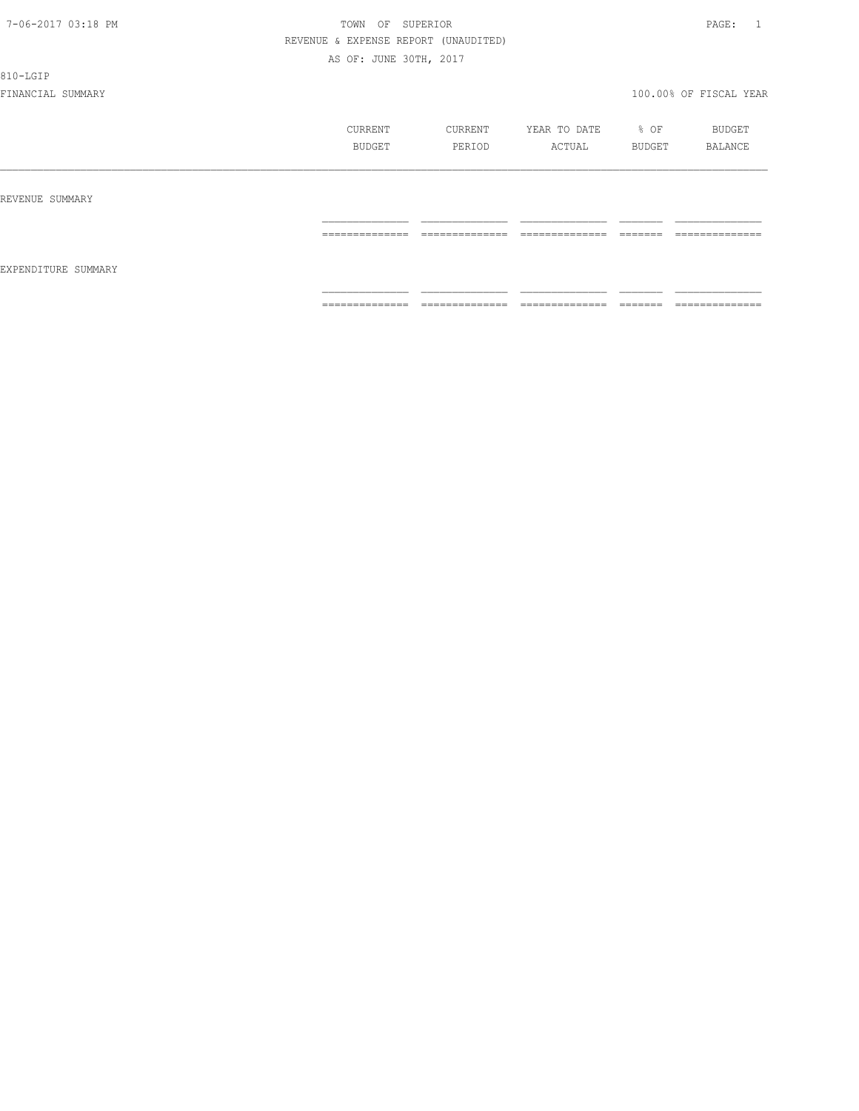810-LGIP

|                     | CURRENT<br>BUDGET                                                                                                                                                                                                                                                                                                                                                                                                                                                                      | CURRENT<br>PERIOD                 | YEAR TO DATE<br>ACTUAL | % OF<br>BUDGET                                                                                                                                                                                                                                                                                                                                                                                                                                                                           | BUDGET<br>BALANCE                |
|---------------------|----------------------------------------------------------------------------------------------------------------------------------------------------------------------------------------------------------------------------------------------------------------------------------------------------------------------------------------------------------------------------------------------------------------------------------------------------------------------------------------|-----------------------------------|------------------------|------------------------------------------------------------------------------------------------------------------------------------------------------------------------------------------------------------------------------------------------------------------------------------------------------------------------------------------------------------------------------------------------------------------------------------------------------------------------------------------|----------------------------------|
| REVENUE SUMMARY     |                                                                                                                                                                                                                                                                                                                                                                                                                                                                                        |                                   |                        |                                                                                                                                                                                                                                                                                                                                                                                                                                                                                          |                                  |
| EXPENDITURE SUMMARY | $\begin{array}{cccccccccc} \multicolumn{2}{c}{} & \multicolumn{2}{c}{} & \multicolumn{2}{c}{} & \multicolumn{2}{c}{} & \multicolumn{2}{c}{} & \multicolumn{2}{c}{} & \multicolumn{2}{c}{} & \multicolumn{2}{c}{} & \multicolumn{2}{c}{} & \multicolumn{2}{c}{} & \multicolumn{2}{c}{} & \multicolumn{2}{c}{} & \multicolumn{2}{c}{} & \multicolumn{2}{c}{} & \multicolumn{2}{c}{} & \multicolumn{2}{c}{} & \multicolumn{2}{c}{} & \multicolumn{2}{c}{} & \multicolumn{2}{c}{} & \mult$ | --------------<br>--------------- | ==============         | $\begin{tabular}{ll} \multicolumn{3}{l}{} & \multicolumn{3}{l}{} & \multicolumn{3}{l}{} \\ \multicolumn{3}{l}{} & \multicolumn{3}{l}{} & \multicolumn{3}{l}{} \\ \multicolumn{3}{l}{} & \multicolumn{3}{l}{} & \multicolumn{3}{l}{} \\ \multicolumn{3}{l}{} & \multicolumn{3}{l}{} & \multicolumn{3}{l}{} \\ \multicolumn{3}{l}{} & \multicolumn{3}{l}{} & \multicolumn{3}{l}{} \\ \multicolumn{3}{l}{} & \multicolumn{3}{l}{} & \multicolumn{3}{l}{} \\ \multicolumn{3}{l}{} & \multic$ | ______________<br>-------------- |
|                     | ==============                                                                                                                                                                                                                                                                                                                                                                                                                                                                         | ==============                    | ==============         | =======                                                                                                                                                                                                                                                                                                                                                                                                                                                                                  | ==============                   |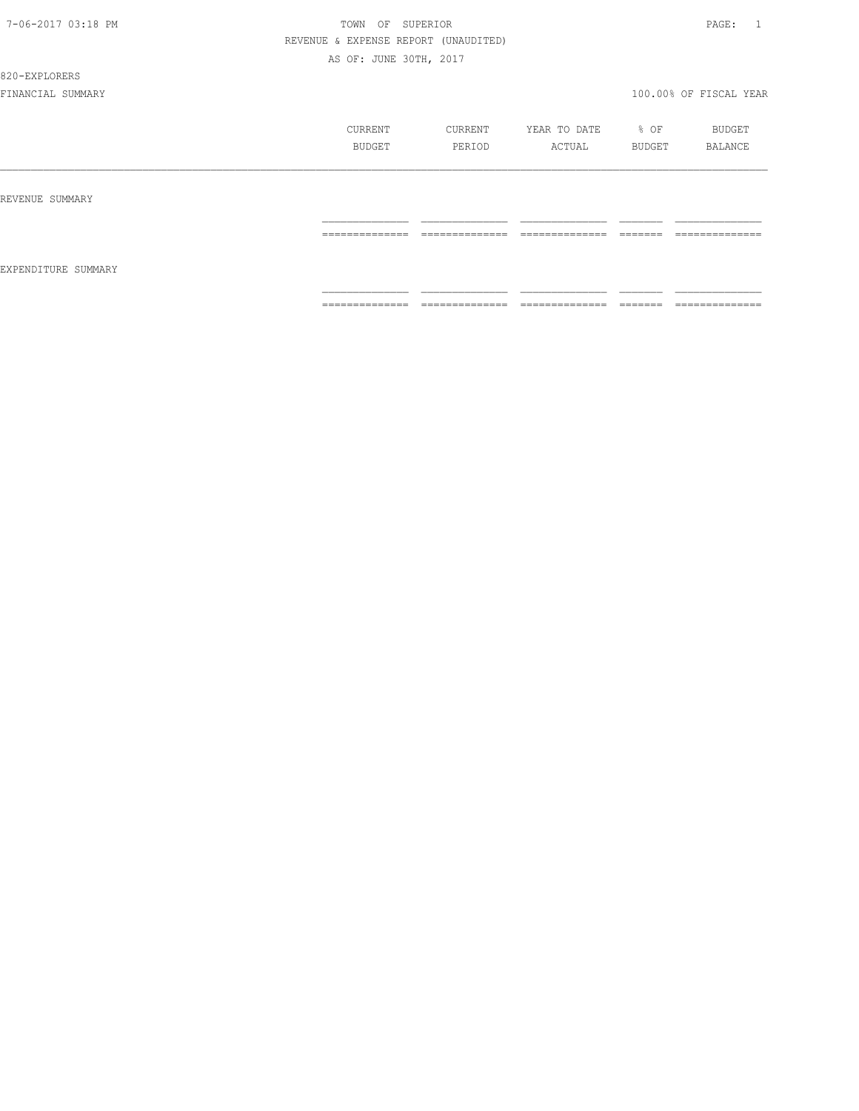820-EXPLORERS

|                     | CURRENT<br>BUDGET    | CURRENT<br>PERIOD                | YEAR TO DATE<br>ACTUAL             | % OF<br>BUDGET       | BUDGET<br>BALANCE                 |
|---------------------|----------------------|----------------------------------|------------------------------------|----------------------|-----------------------------------|
| REVENUE SUMMARY     | ==============       | ______________                   | ______________                     | --------             | ==============                    |
| EXPENDITURE SUMMARY |                      | -------------                    | -------------                      | ------               |                                   |
|                     | ---------------<br>. | --------------<br>______________ | ---------------<br>_______________ | --------<br>________ | --------------<br>_______________ |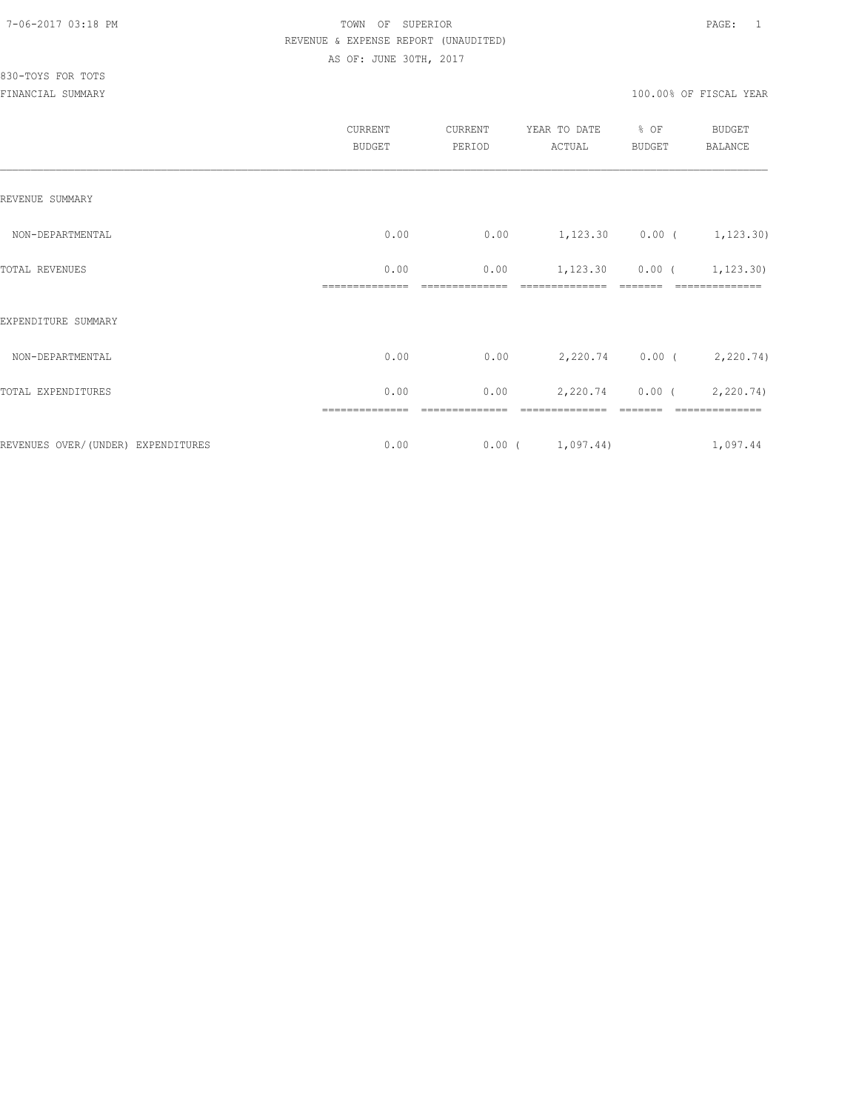|                                     | CURRENT<br><b>BUDGET</b> | CURRENT<br>PERIOD | YEAR TO DATE<br>ACTUAL           | % OF<br>BUDGET | BUDGET<br><b>BALANCE</b>  |
|-------------------------------------|--------------------------|-------------------|----------------------------------|----------------|---------------------------|
| REVENUE SUMMARY                     |                          |                   |                                  |                |                           |
| NON-DEPARTMENTAL                    | 0.00                     | 0.00              | $1,123.30$ 0.00 ( 1,123.30)      |                |                           |
| TOTAL REVENUES                      | 0.00                     | 0.00              | $1,123.30$ $0.00$ ( $1,123.30$ ) |                |                           |
| EXPENDITURE SUMMARY                 |                          |                   |                                  |                |                           |
| NON-DEPARTMENTAL                    | 0.00                     | 0.00              |                                  |                | 2,220.74 0.00 ( 2,220.74) |
| TOTAL EXPENDITURES                  | 0.00                     | 0.00              |                                  |                | 2,220.74 0.00 (2,220.74)  |
| REVENUES OVER/ (UNDER) EXPENDITURES | 0.00                     |                   | $0.00$ ( $1,097.44$ )            |                | 1,097.44                  |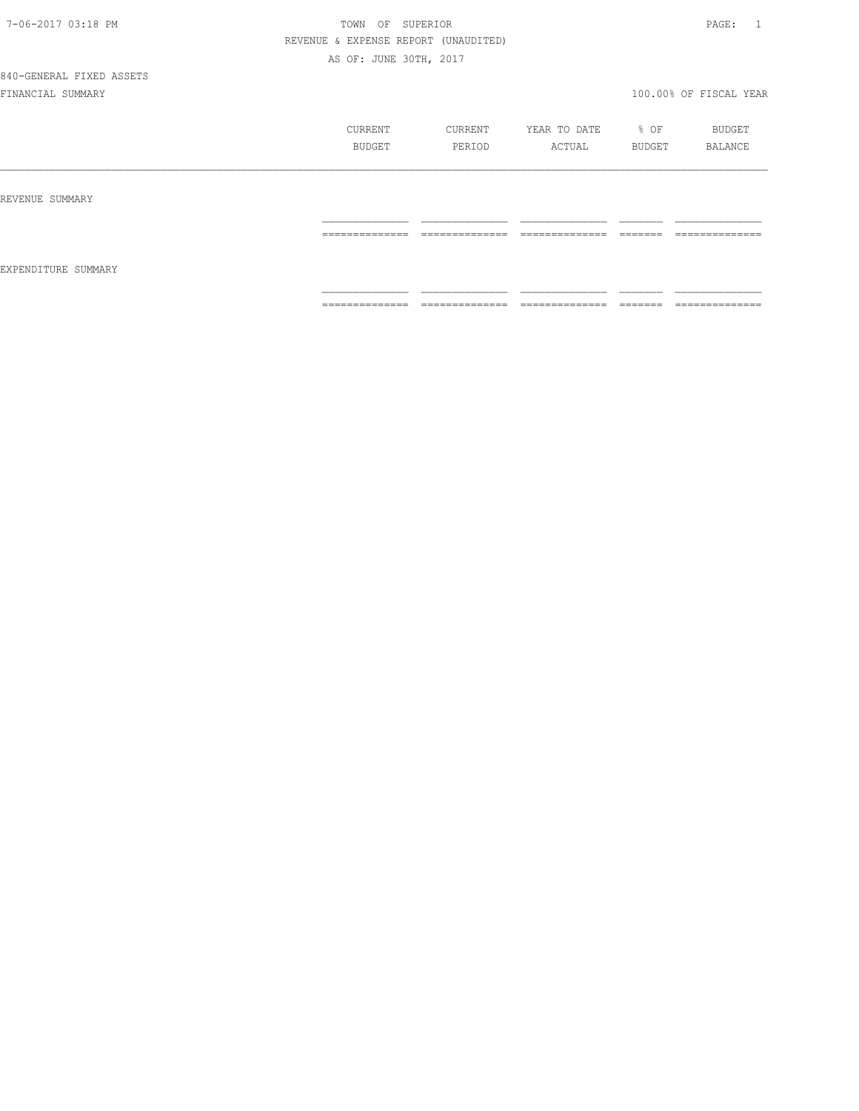| 7-06-2017 03:18 PM |  |
|--------------------|--|
|                    |  |

## TOWN OF SUPERIOR **PAGE:** 1 REVENUE & EXPENSE REPORT (UNAUDITED) AS OF: JUNE 30TH, 2017

|                     | CURRENT<br><b>BUDGET</b>          | CURRENT<br>PERIOD | YEAR TO DATE<br>ACTUAL             | % OF<br>BUDGET       | BUDGET<br>BALANCE                 |
|---------------------|-----------------------------------|-------------------|------------------------------------|----------------------|-----------------------------------|
| REVENUE SUMMARY     | ==============                    | ==============    | ==============                     |                      | ==============                    |
| EXPENDITURE SUMMARY |                                   |                   |                                    |                      |                                   |
|                     | ---------------<br>-------------- | --------------    | ---------------<br>_______________ | --------<br>________ | --------------<br>_______________ |